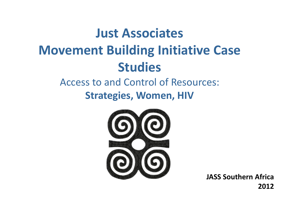### **Just Associates Movement Building Initiative Case Studies**

### Access to and Control of Resources:

**Strategies, Women, HIV**



**JASS Southern Africa 2012**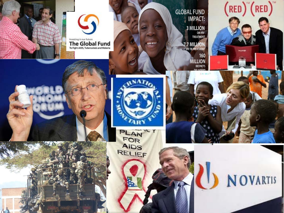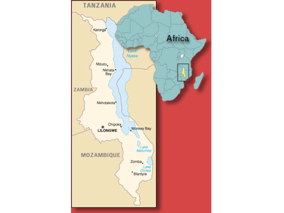![](_page_2_Figure_0.jpeg)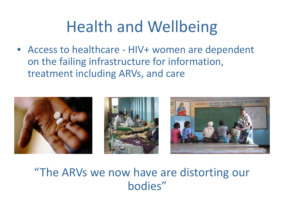# Health and Wellbeing

• Access to healthcare - HIV+ women are dependent on the failing infrastructure for information, treatment including ARVs, and care

![](_page_3_Picture_2.jpeg)

#### "The ARVs we now have are distorting our bodies"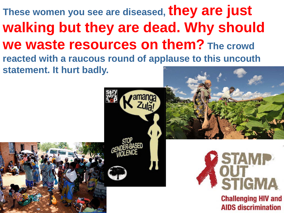#### **These women you see are diseased, they are just walking but they are dead. Why should we waste resources on them? The crowd reacted with a raucous round of applause to this uncouth statement. It hurt badly.**

![](_page_4_Picture_1.jpeg)

![](_page_4_Picture_2.jpeg)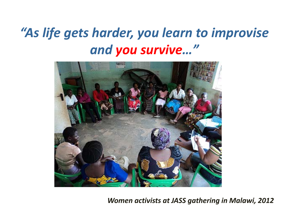### *"As life gets harder, you learn to improvise and you survive…"*

![](_page_5_Picture_1.jpeg)

*Women activists at JASS gathering in Malawi, 2012*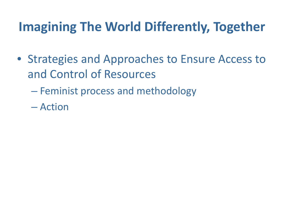#### **Imagining The World Differently, Together**

- Strategies and Approaches to Ensure Access to and Control of Resources
	- Feminist process and methodology
	- Action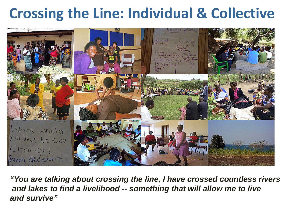### **Crossing the Line: Individual & Collective**

![](_page_7_Picture_1.jpeg)

*"You are talking about crossing the line, I have crossed countless rivers and lakes to find a livelihood -- something that will allow me to live and survive"*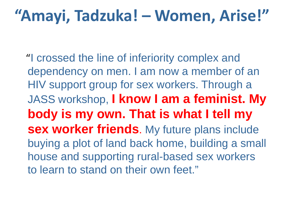### **"Amayi, Tadzuka! – Women, Arise!"**

"I crossed the line of inferiority complex and dependency on men. I am now a member of an HIV support group for sex workers. Through a JASS workshop, **I know I am a feminist. My body is my own. That is what I tell my sex worker friends**. My future plans include buying a plot of land back home, building a small house and supporting rural-based sex workers to learn to stand on their own feet."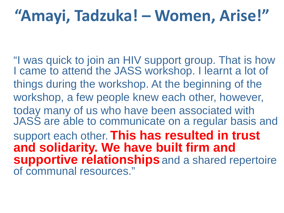# **"Amayi, Tadzuka! – Women, Arise!"**

"I was quick to join an HIV support group. That is how I came to attend the JASS workshop. I learnt a lot of things during the workshop. At the beginning of the workshop, a few people knew each other, however, today many of us who have been associated with JASS are able to communicate on a regular basis and support each other. **This has resulted in trust and solidarity. We have built firm and supportive relationships** and a shared repertoire of communal resources."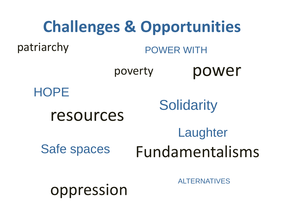![](_page_10_Figure_0.jpeg)